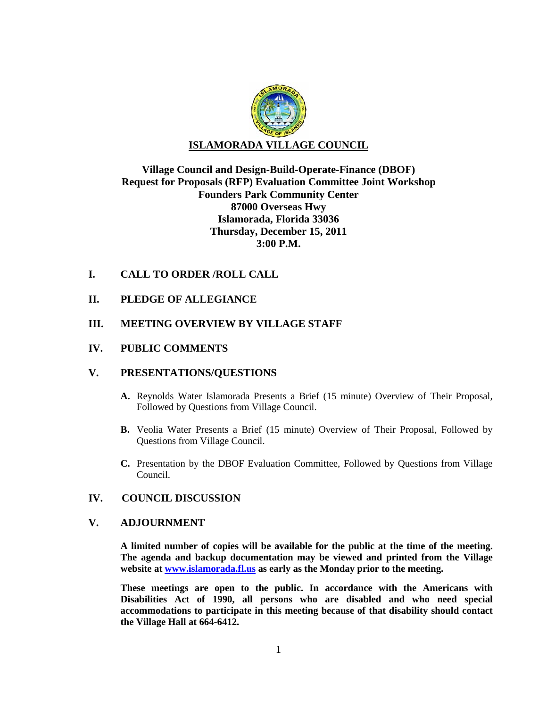

# **Village Council and Design-Build-Operate-Finance (DBOF) Request for Proposals (RFP) Evaluation Committee Joint Workshop Founders Park Community Center 87000 Overseas Hwy Islamorada, Florida 33036 Thursday, December 15, 2011 3:00 P.M.**

## **I. CALL TO ORDER /ROLL CALL**

**II. PLEDGE OF ALLEGIANCE**

## **III. MEETING OVERVIEW BY VILLAGE STAFF**

## **IV. PUBLIC COMMENTS**

## **V. PRESENTATIONS/QUESTIONS**

- **A.** Reynolds Water Islamorada Presents a Brief (15 minute) Overview of Their Proposal, Followed by Questions from Village Council.
- **B.** Veolia Water Presents a Brief (15 minute) Overview of Their Proposal, Followed by Questions from Village Council.
- **C.** Presentation by the DBOF Evaluation Committee, Followed by Questions from Village Council.

## **IV. COUNCIL DISCUSSION**

#### **V. ADJOURNMENT**

**A limited number of copies will be available for the public at the time of the meeting. The agenda and backup documentation may be viewed and printed from the Village website at [www.islamorada.fl.us](http://www.islamorada.fl.us/) as early as the Monday prior to the meeting.**

**These meetings are open to the public. In accordance with the Americans with Disabilities Act of 1990, all persons who are disabled and who need special accommodations to participate in this meeting because of that disability should contact the Village Hall at 664-6412.**